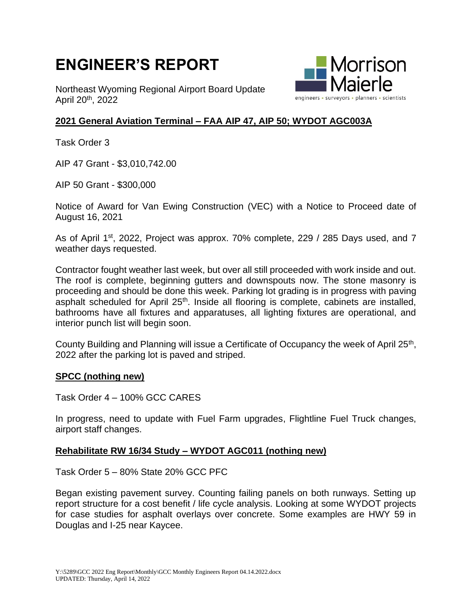# **ENGINEER'S REPORT**

Northeast Wyoming Regional Airport Board Update April 20th, 2022



## **2021 General Aviation Terminal – FAA AIP 47, AIP 50; WYDOT AGC003A**

Task Order 3

AIP 47 Grant - \$3,010,742.00

AIP 50 Grant - \$300,000

Notice of Award for Van Ewing Construction (VEC) with a Notice to Proceed date of August 16, 2021

As of April 1<sup>st</sup>, 2022, Project was approx. 70% complete, 229 / 285 Days used, and 7 weather days requested.

Contractor fought weather last week, but over all still proceeded with work inside and out. The roof is complete, beginning gutters and downspouts now. The stone masonry is proceeding and should be done this week. Parking lot grading is in progress with paving asphalt scheduled for April 25<sup>th</sup>. Inside all flooring is complete, cabinets are installed, bathrooms have all fixtures and apparatuses, all lighting fixtures are operational, and interior punch list will begin soon.

County Building and Planning will issue a Certificate of Occupancy the week of April 25<sup>th</sup>, 2022 after the parking lot is paved and striped.

#### **SPCC (nothing new)**

Task Order 4 – 100% GCC CARES

In progress, need to update with Fuel Farm upgrades, Flightline Fuel Truck changes, airport staff changes.

### **Rehabilitate RW 16/34 Study – WYDOT AGC011 (nothing new)**

Task Order 5 – 80% State 20% GCC PFC

Began existing pavement survey. Counting failing panels on both runways. Setting up report structure for a cost benefit / life cycle analysis. Looking at some WYDOT projects for case studies for asphalt overlays over concrete. Some examples are HWY 59 in Douglas and I-25 near Kaycee.